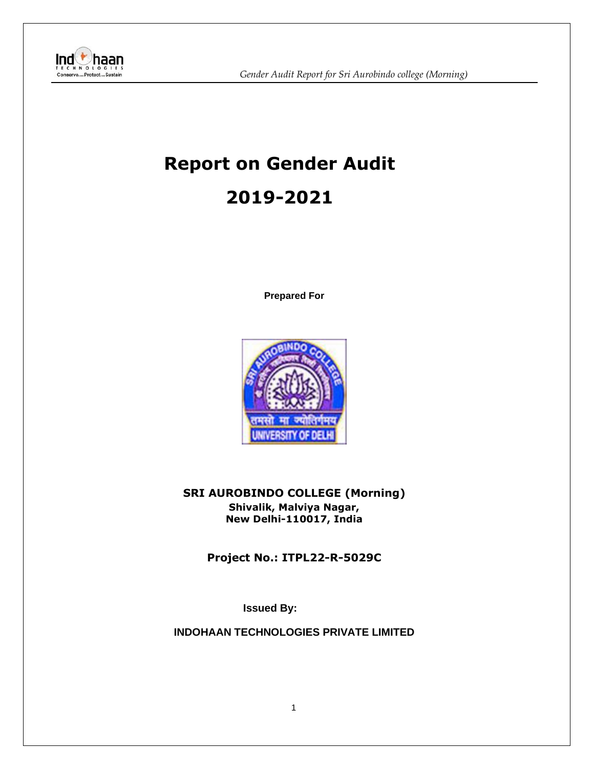

# **Report on Gender Audit 2019-2021**

**Prepared For**



**SRI AUROBINDO COLLEGE (Morning) Shivalik, Malviya Nagar, New Delhi-110017, India**

**Project No.: ITPL22-R-5029C**

**Issued By:** 

**INDOHAAN TECHNOLOGIES PRIVATE LIMITED**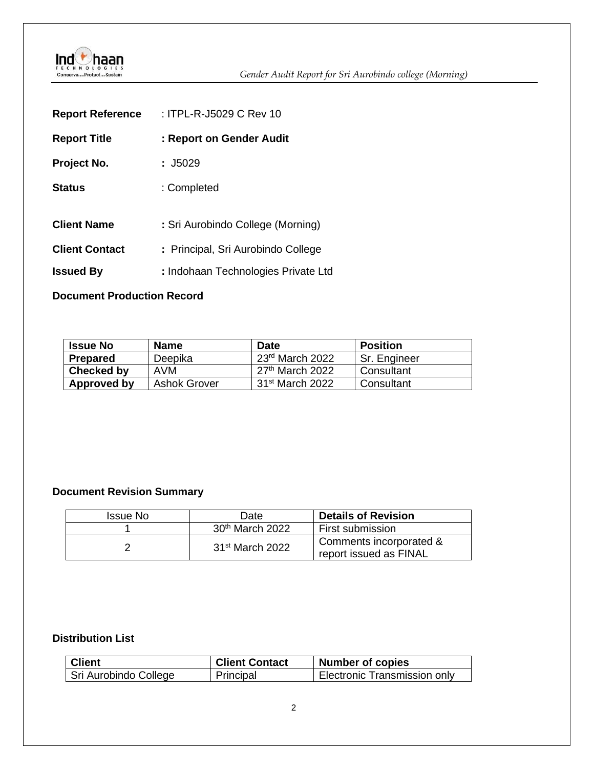

| <b>Report Reference</b> | : ITPL-R-J5029 C Rev 10             |
|-------------------------|-------------------------------------|
| <b>Report Title</b>     | : Report on Gender Audit            |
| Project No.             | : J5029                             |
| <b>Status</b>           | : Completed                         |
| <b>Client Name</b>      | : Sri Aurobindo College (Morning)   |
| <b>Client Contact</b>   | : Principal, Sri Aurobindo College  |
| <b>Issued By</b>        | : Indohaan Technologies Private Ltd |

#### **Document Production Record**

| <b>Issue No</b> | <b>Name</b>         | <b>Date</b>       | <b>Position</b> |
|-----------------|---------------------|-------------------|-----------------|
| Prepared        | Deepika             | $23rd$ March 2022 | I Sr. Engineer  |
| Checked by      | AVM                 | $27th$ March 2022 | Consultant      |
| Approved by     | <b>Ashok Grover</b> | $31st$ March 2022 | Consultant      |

#### **Document Revision Summary**

| Issue No | Date                        | <b>Details of Revision</b>                        |
|----------|-----------------------------|---------------------------------------------------|
|          | 30 <sup>th</sup> March 2022 | <b>First submission</b>                           |
|          | $31st$ March 2022           | Comments incorporated &<br>report issued as FINAL |

#### **Distribution List**

| <b>Client</b>         | <b>Client Contact</b> | <b>Number of copies</b>             |
|-----------------------|-----------------------|-------------------------------------|
| Sri Aurobindo College | Principal             | <b>Electronic Transmission only</b> |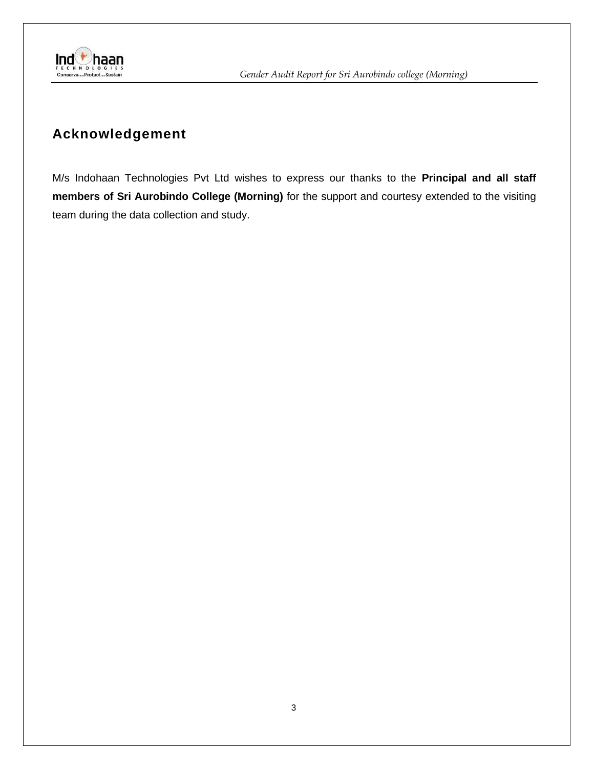

# **Acknowledgement**

M/s Indohaan Technologies Pvt Ltd wishes to express our thanks to the **Principal and all staff members of Sri Aurobindo College (Morning)** for the support and courtesy extended to the visiting team during the data collection and study.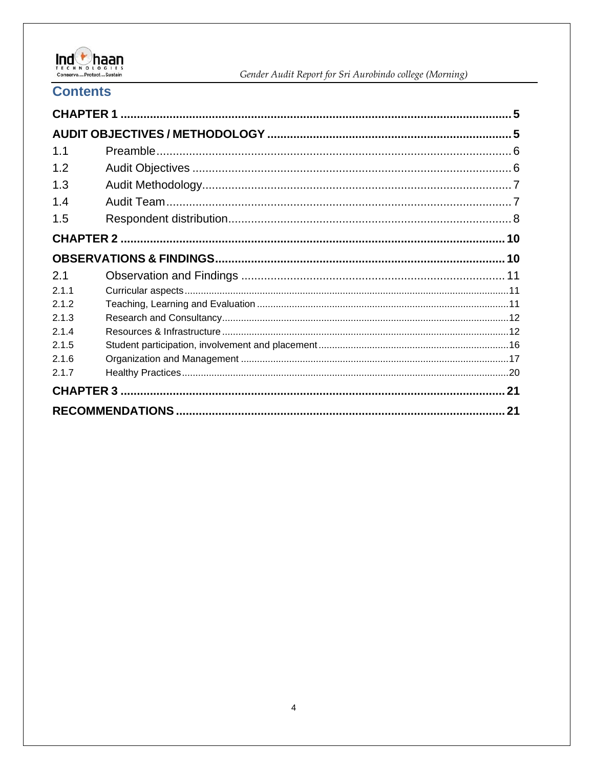

#### **Contents**

| 1.1   |    |
|-------|----|
| 1.2   |    |
| 1.3   |    |
| 1.4   |    |
| 1.5   |    |
|       |    |
|       |    |
| 2.1   |    |
| 211   |    |
| 2.1.2 |    |
| 2.1.3 |    |
| 2.1.4 |    |
| 2.1.5 |    |
| 2.1.6 |    |
| 2.1.7 |    |
|       |    |
|       | 21 |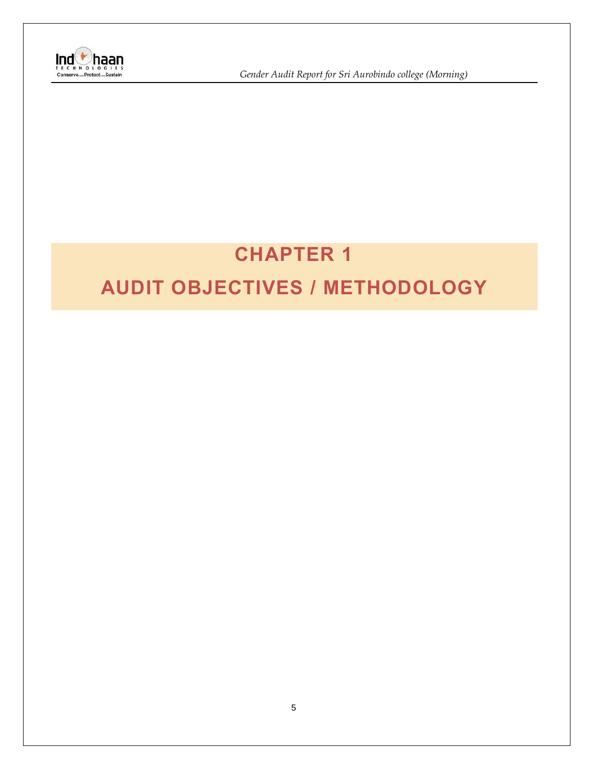

**Ind**<br> *I* Gender Audit Report for Sri Aurobindo college (Morning)<br>
Conserve....Protect...Sustain

# **CHAPTER 1**

# <span id="page-4-1"></span><span id="page-4-0"></span>**AUDIT OBJECTIVES / METHODOLOGY**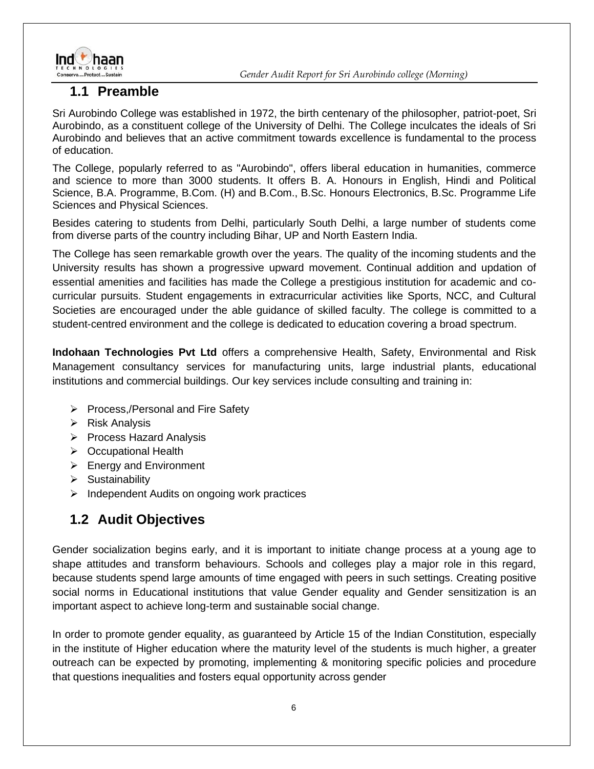

#### <span id="page-5-0"></span>**1.1 Preamble**

Sri Aurobindo College was established in 1972, the birth centenary of the philosopher, patriot-poet, Sri Aurobindo, as a constituent college of the University of Delhi. The College inculcates the ideals of Sri Aurobindo and believes that an active commitment towards excellence is fundamental to the process of education.

The College, popularly referred to as "Aurobindo", offers liberal education in humanities, commerce and science to more than 3000 students. It offers B. A. Honours in English, Hindi and Political Science, B.A. Programme, B.Com. (H) and B.Com., B.Sc. Honours Electronics, B.Sc. Programme Life Sciences and Physical Sciences.

Besides catering to students from Delhi, particularly South Delhi, a large number of students come from diverse parts of the country including Bihar, UP and North Eastern India.

The College has seen remarkable growth over the years. The quality of the incoming students and the University results has shown a progressive upward movement. Continual addition and updation of essential amenities and facilities has made the College a prestigious institution for academic and cocurricular pursuits. Student engagements in extracurricular activities like Sports, NCC, and Cultural Societies are encouraged under the able guidance of skilled faculty. The college is committed to a student-centred environment and the college is dedicated to education covering a broad spectrum.

**Indohaan Technologies Pvt Ltd** offers a comprehensive Health, Safety, Environmental and Risk Management consultancy services for manufacturing units, large industrial plants, educational institutions and commercial buildings. Our key services include consulting and training in:

- ➢ Process,/Personal and Fire Safety
- ➢ Risk Analysis
- ➢ Process Hazard Analysis
- ➢ Occupational Health
- ➢ Energy and Environment
- ➢ Sustainability
- ➢ Independent Audits on ongoing work practices

## <span id="page-5-1"></span>**1.2 Audit Objectives**

Gender socialization begins early, and it is important to initiate change process at a young age to shape attitudes and transform behaviours. Schools and colleges play a major role in this regard, because students spend large amounts of time engaged with peers in such settings. Creating positive social norms in Educational institutions that value Gender equality and Gender sensitization is an important aspect to achieve long-term and sustainable social change.

In order to promote gender equality, as guaranteed by Article 15 of the Indian Constitution, especially in the institute of Higher education where the maturity level of the students is much higher, a greater outreach can be expected by promoting, implementing & monitoring specific policies and procedure that questions inequalities and fosters equal opportunity across gender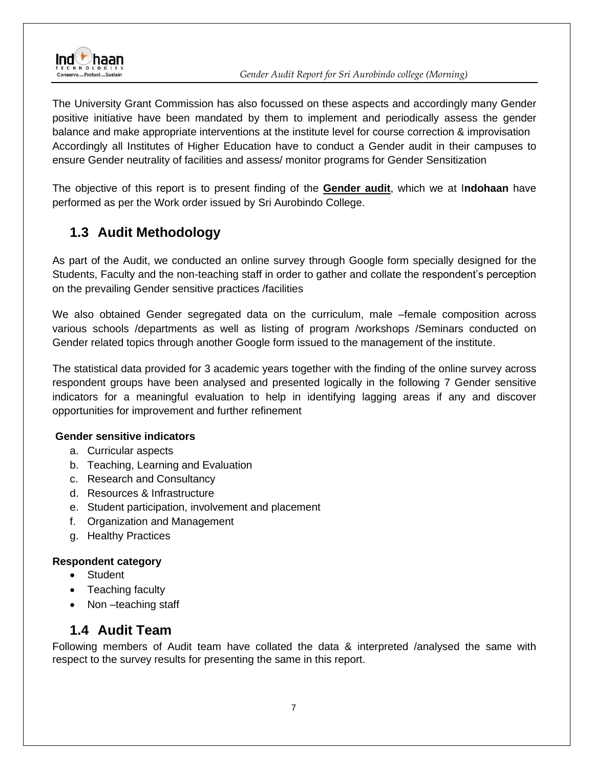

The University Grant Commission has also focussed on these aspects and accordingly many Gender positive initiative have been mandated by them to implement and periodically assess the gender balance and make appropriate interventions at the institute level for course correction & improvisation Accordingly all Institutes of Higher Education have to conduct a Gender audit in their campuses to ensure Gender neutrality of facilities and assess/ monitor programs for Gender Sensitization

The objective of this report is to present finding of the **Gender audit**, which we at I**ndohaan** have performed as per the Work order issued by Sri Aurobindo College.

## <span id="page-6-0"></span>**1.3 Audit Methodology**

As part of the Audit, we conducted an online survey through Google form specially designed for the Students, Faculty and the non-teaching staff in order to gather and collate the respondent's perception on the prevailing Gender sensitive practices /facilities

We also obtained Gender segregated data on the curriculum, male –female composition across various schools /departments as well as listing of program /workshops /Seminars conducted on Gender related topics through another Google form issued to the management of the institute.

The statistical data provided for 3 academic years together with the finding of the online survey across respondent groups have been analysed and presented logically in the following 7 Gender sensitive indicators for a meaningful evaluation to help in identifying lagging areas if any and discover opportunities for improvement and further refinement

#### **Gender sensitive indicators**

- a. Curricular aspects
- b. Teaching, Learning and Evaluation
- c. Research and Consultancy
- d. Resources & Infrastructure
- e. Student participation, involvement and placement
- f. Organization and Management
- g. Healthy Practices

#### **Respondent category**

- Student
- Teaching faculty
- Non-teaching staff

### **1.4 Audit Team**

<span id="page-6-1"></span>Following members of Audit team have collated the data & interpreted /analysed the same with respect to the survey results for presenting the same in this report.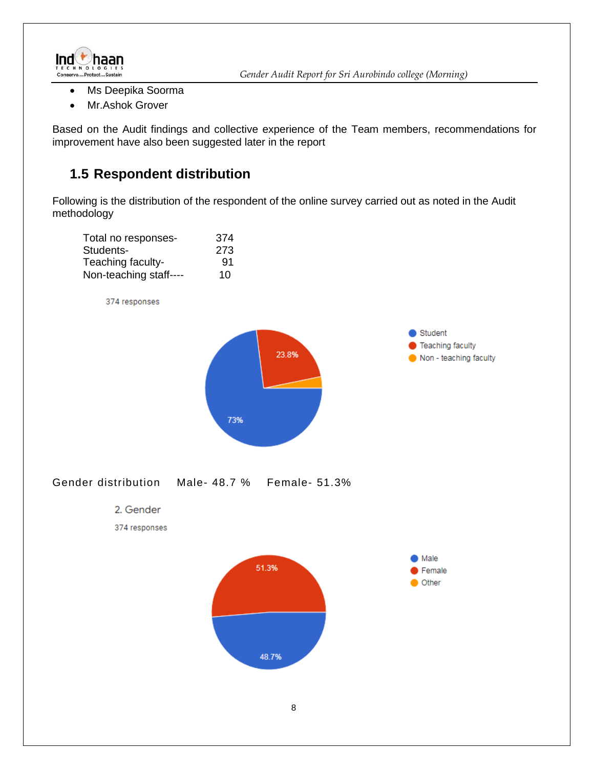

- Ms Deepika Soorma
- Mr.Ashok Grover

<span id="page-7-0"></span>Based on the Audit findings and collective experience of the Team members, recommendations for improvement have also been suggested later in the report

### **1.5 Respondent distribution**

Following is the distribution of the respondent of the online survey carried out as noted in the Audit methodology

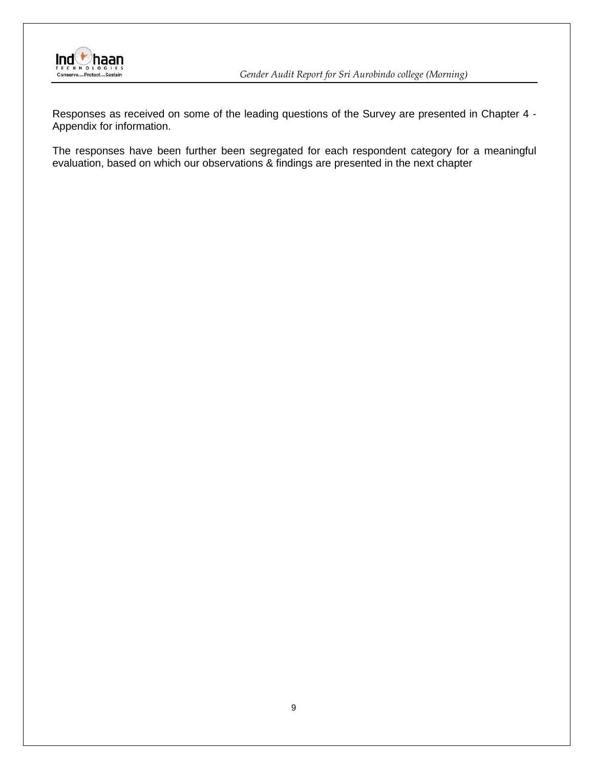

**Inder Audit Report for Sri Aurobindo college (Morning)**<br>
Conserve....Protect...Sustain<br>
Conserve....Protect...Sustain

Responses as received on some of the leading questions of the Survey are presented in Chapter 4 - Appendix for information.

The responses have been further been segregated for each respondent category for a meaningful evaluation, based on which our observations & findings are presented in the next chapter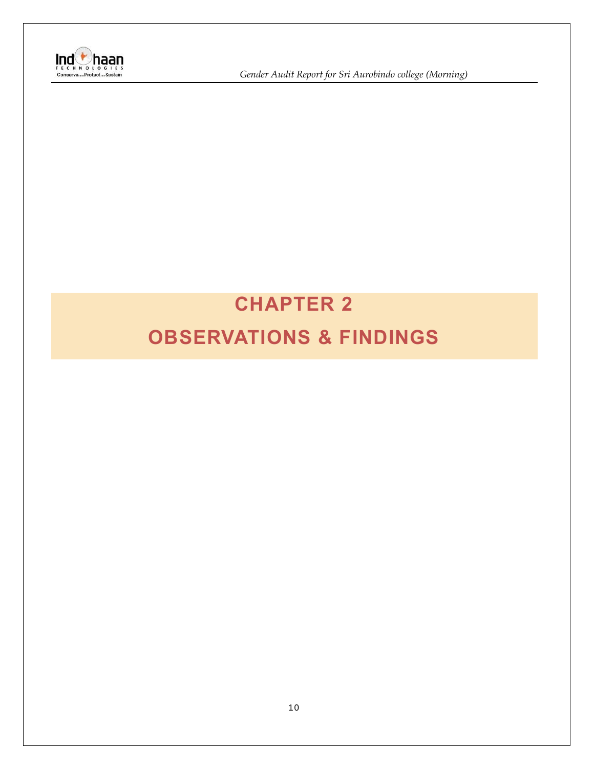

**Ind**<br> *I* Gender Audit Report for Sri Aurobindo college (Morning)<br>
Conserve....Protect...Sustain

# <span id="page-9-1"></span><span id="page-9-0"></span>**CHAPTER 2 OBSERVATIONS & FINDINGS**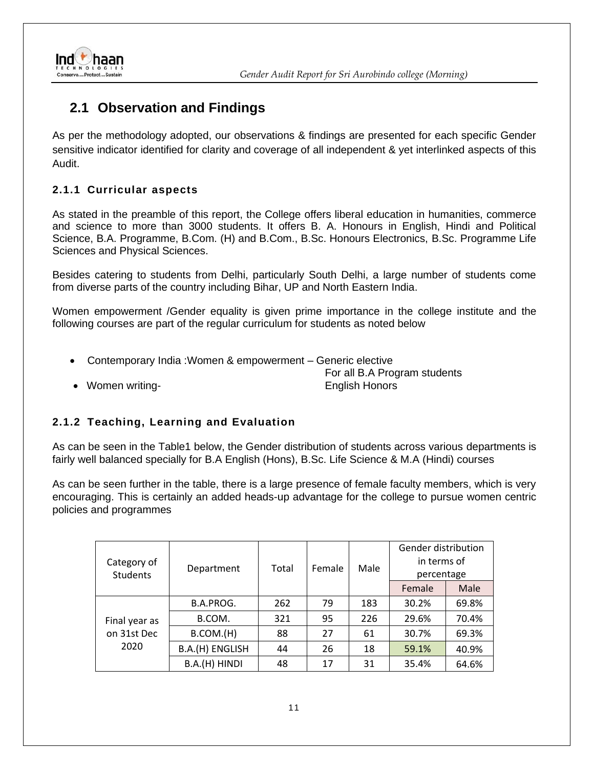

### <span id="page-10-0"></span>**2.1 Observation and Findings**

As per the methodology adopted, our observations & findings are presented for each specific Gender sensitive indicator identified for clarity and coverage of all independent & yet interlinked aspects of this Audit.

#### <span id="page-10-1"></span>**2.1.1 Curricular aspects**

As stated in the preamble of this report, the College offers liberal education in humanities, commerce and science to more than 3000 students. It offers B. A. Honours in English, Hindi and Political Science, B.A. Programme, B.Com. (H) and B.Com., B.Sc. Honours Electronics, B.Sc. Programme Life Sciences and Physical Sciences.

Besides catering to students from Delhi, particularly South Delhi, a large number of students come from diverse parts of the country including Bihar, UP and North Eastern India.

Women empowerment /Gender equality is given prime importance in the college institute and the following courses are part of the regular curriculum for students as noted below

- Contemporary India :Women & empowerment Generic elective
- Women writing-<br>
 English Honors

For all B.A Program students

#### <span id="page-10-2"></span>**2.1.2 Teaching, Learning and Evaluation**

As can be seen in the Table1 below, the Gender distribution of students across various departments is fairly well balanced specially for B.A English (Hons), B.Sc. Life Science & M.A (Hindi) courses

As can be seen further in the table, there is a large presence of female faculty members, which is very encouraging. This is certainly an added heads-up advantage for the college to pursue women centric policies and programmes

| Category of<br><b>Students</b> | Department      | Total | Female | Male | Gender distribution<br>in terms of<br>percentage |       |
|--------------------------------|-----------------|-------|--------|------|--------------------------------------------------|-------|
|                                |                 |       |        |      | Female                                           | Male  |
|                                | B.A.PROG.       | 262   | 79     | 183  | 30.2%                                            | 69.8% |
| Final year as                  | B.COM.          | 321   | 95     | 226  | 29.6%                                            | 70.4% |
| on 31st Dec                    | B.COM.(H)       | 88    | 27     | 61   | 30.7%                                            | 69.3% |
| 2020                           | B.A.(H) ENGLISH | 44    | 26     | 18   | 59.1%                                            | 40.9% |
|                                | B.A.(H) HINDI   | 48    | 17     | 31   | 35.4%                                            | 64.6% |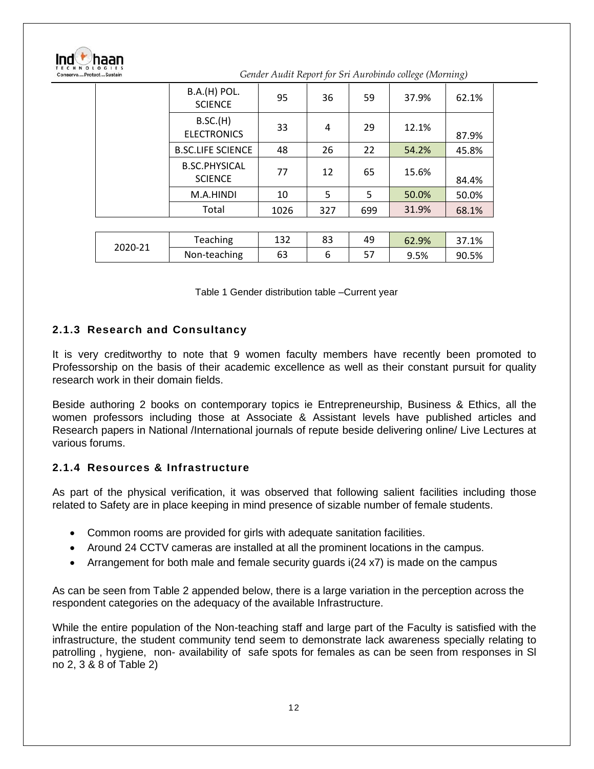| aan<br>ConserveProtectSustain |                                        |      |     |     | Gender Audit Report for Sri Aurobindo college (Morning) |       |
|-------------------------------|----------------------------------------|------|-----|-----|---------------------------------------------------------|-------|
|                               | <b>B.A.(H) POL.</b><br><b>SCIENCE</b>  | 95   | 36  | 59  | 37.9%                                                   | 62.1% |
|                               | B.SC.(H)<br><b>ELECTRONICS</b>         | 33   | 4   | 29  | 12.1%                                                   | 87.9% |
|                               | <b>B.SC.LIFE SCIENCE</b>               | 48   | 26  | 22  | 54.2%                                                   | 45.8% |
|                               | <b>B.SC.PHYSICAL</b><br><b>SCIENCE</b> | 77   | 12  | 65  | 15.6%                                                   | 84.4% |
|                               | M.A.HINDI                              | 10   | 5   | 5   | 50.0%                                                   | 50.0% |
|                               | Total                                  | 1026 | 327 | 699 | 31.9%                                                   | 68.1% |
|                               |                                        |      |     |     |                                                         |       |
|                               | Teaching                               | 132  | 83  | 49  | 62.9%                                                   | 37.1% |
| 2020-21                       | Non-teaching                           | 63   | 6   | 57  | 9.5%                                                    | 90.5% |

| Table 1 Gender distribution table -Current year |  |
|-------------------------------------------------|--|
|-------------------------------------------------|--|

#### <span id="page-11-0"></span>**2.1.3 Research and Consultancy**

It is very creditworthy to note that 9 women faculty members have recently been promoted to Professorship on the basis of their academic excellence as well as their constant pursuit for quality research work in their domain fields.

Beside authoring 2 books on contemporary topics ie Entrepreneurship, Business & Ethics, all the women professors including those at Associate & Assistant levels have published articles and Research papers in National /International journals of repute beside delivering online/ Live Lectures at various forums.

#### <span id="page-11-1"></span>**2.1.4 Resources & Infrastructure**

As part of the physical verification, it was observed that following salient facilities including those related to Safety are in place keeping in mind presence of sizable number of female students.

- Common rooms are provided for girls with adequate sanitation facilities.
- Around 24 CCTV cameras are installed at all the prominent locations in the campus.
- Arrangement for both male and female security guards i(24 x7) is made on the campus

As can be seen from Table 2 appended below, there is a large variation in the perception across the respondent categories on the adequacy of the available Infrastructure.

While the entire population of the Non-teaching staff and large part of the Faculty is satisfied with the infrastructure, the student community tend seem to demonstrate lack awareness specially relating to patrolling , hygiene, non- availability of safe spots for females as can be seen from responses in Sl no 2, 3 & 8 of Table 2)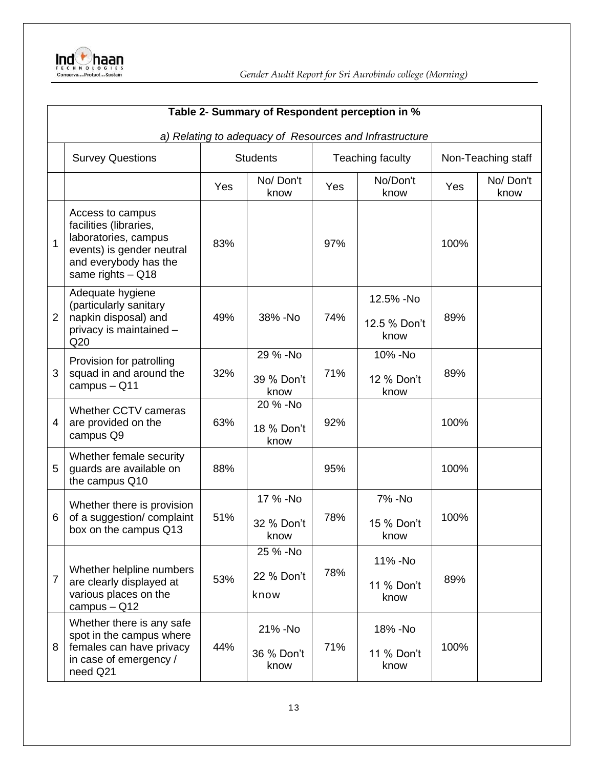

|                | Table 2- Summary of Respondent perception in %                                                                                                |     |                                |                  |                                                         |                    |                  |  |  |
|----------------|-----------------------------------------------------------------------------------------------------------------------------------------------|-----|--------------------------------|------------------|---------------------------------------------------------|--------------------|------------------|--|--|
|                |                                                                                                                                               |     |                                |                  | a) Relating to adequacy of Resources and Infrastructure |                    |                  |  |  |
|                | <b>Survey Questions</b>                                                                                                                       |     | <b>Students</b>                | Teaching faculty |                                                         | Non-Teaching staff |                  |  |  |
|                |                                                                                                                                               | Yes | No/Don't<br>know               | Yes              | No/Don't<br>know                                        | Yes                | No/Don't<br>know |  |  |
| 1              | Access to campus<br>facilities (libraries,<br>laboratories, campus<br>events) is gender neutral<br>and everybody has the<br>same rights - Q18 | 83% |                                | 97%              |                                                         | 100%               |                  |  |  |
| 2              | Adequate hygiene<br>(particularly sanitary<br>napkin disposal) and<br>privacy is maintained -<br>Q20                                          | 49% | 38% - No                       | 74%              | 12.5% -No<br>12.5 % Don't<br>know                       | 89%                |                  |  |  |
| 3              | Provision for patrolling<br>squad in and around the<br>campus - Q11                                                                           | 32% | 29 % -No<br>39 % Don't<br>know | 71%              | 10% - No<br>12 % Don't<br>know                          | 89%                |                  |  |  |
| 4              | Whether CCTV cameras<br>are provided on the<br>campus Q9                                                                                      | 63% | 20 % -No<br>18 % Don't<br>know | 92%              |                                                         | 100%               |                  |  |  |
| 5              | Whether female security<br>guards are available on<br>the campus Q10                                                                          | 88% |                                | 95%              |                                                         | 100%               |                  |  |  |
| 6              | Whether there is provision<br>of a suggestion/complaint<br>box on the campus Q13                                                              | 51% | 17 % -No<br>32 % Don't<br>know | 78%              | 7% - No<br>15 % Don't<br>know                           | 100%               |                  |  |  |
| $\overline{7}$ | Whether helpline numbers<br>are clearly displayed at<br>various places on the<br>campus $-$ Q12                                               | 53% | 25 % -No<br>22 % Don't<br>know | 78%              | 11% - No<br>11 % Don't<br>know                          | 89%                |                  |  |  |
| 8              | Whether there is any safe<br>spot in the campus where<br>females can have privacy<br>in case of emergency /<br>need Q21                       | 44% | 21% - No<br>36 % Don't<br>know | 71%              | 18% - No<br>11 % Don't<br>know                          | 100%               |                  |  |  |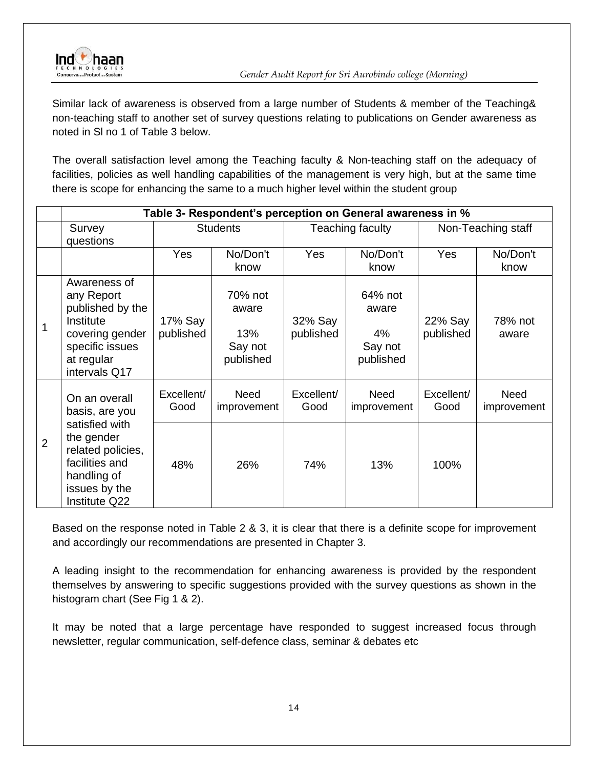

Similar lack of awareness is observed from a large number of Students & member of the Teaching& non-teaching staff to another set of survey questions relating to publications on Gender awareness as noted in Sl no 1 of Table 3 below.

The overall satisfaction level among the Teaching faculty & Non-teaching staff on the adequacy of facilities, policies as well handling capabilities of the management is very high, but at the same time there is scope for enhancing the same to a much higher level within the student group

|                | Table 3- Respondent's perception on General awareness in %                                                                       |                      |                                                 |                      |                                                |                      |                     |  |  |
|----------------|----------------------------------------------------------------------------------------------------------------------------------|----------------------|-------------------------------------------------|----------------------|------------------------------------------------|----------------------|---------------------|--|--|
|                | Survey<br>questions                                                                                                              | <b>Students</b>      |                                                 |                      | Teaching faculty                               |                      | Non-Teaching staff  |  |  |
|                |                                                                                                                                  | Yes                  | No/Don't<br>know                                | Yes                  | No/Don't<br>know                               | <b>Yes</b>           | No/Don't<br>know    |  |  |
| 1              | Awareness of<br>any Report<br>published by the<br>Institute<br>covering gender<br>specific issues<br>at regular<br>intervals Q17 | 17% Say<br>published | 70% not<br>aware<br>13%<br>Say not<br>published | 32% Say<br>published | 64% not<br>aware<br>4%<br>Say not<br>published | 22% Say<br>published | 78% not<br>aware    |  |  |
|                | On an overall<br>basis, are you                                                                                                  | Excellent/<br>Good   | Need<br>improvement                             | Excellent/<br>Good   | Need<br>improvement                            | Excellent/<br>Good   | Need<br>improvement |  |  |
| $\overline{2}$ | satisfied with<br>the gender<br>related policies,<br>facilities and<br>handling of<br>issues by the<br>Institute Q22             | 48%                  | 26%                                             | 74%                  | 13%                                            | 100%                 |                     |  |  |

Based on the response noted in Table 2 & 3, it is clear that there is a definite scope for improvement and accordingly our recommendations are presented in Chapter 3.

A leading insight to the recommendation for enhancing awareness is provided by the respondent themselves by answering to specific suggestions provided with the survey questions as shown in the histogram chart (See Fig 1 & 2).

It may be noted that a large percentage have responded to suggest increased focus through newsletter, regular communication, self-defence class, seminar & debates etc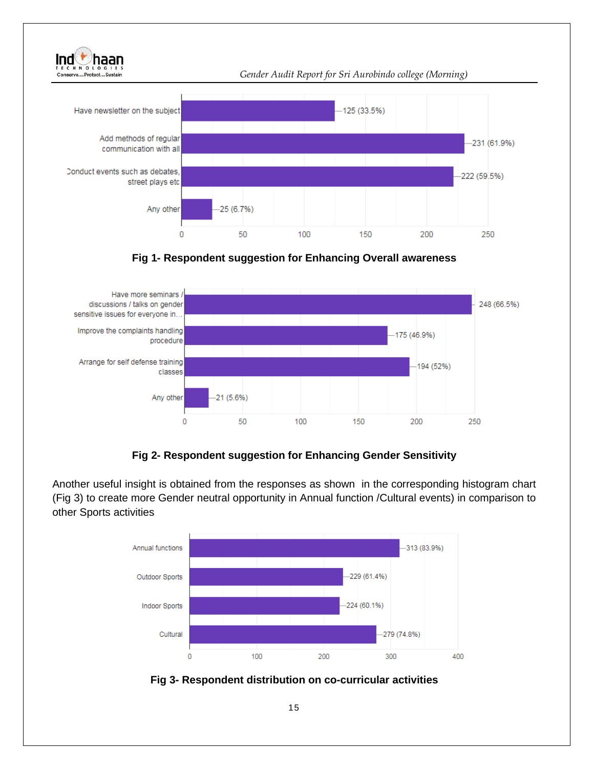



**Fig 2- Respondent suggestion for Enhancing Gender Sensitivity** 

Another useful insight is obtained from the responses as shown in the corresponding histogram chart (Fig 3) to create more Gender neutral opportunity in Annual function /Cultural events) in comparison to other Sports activities



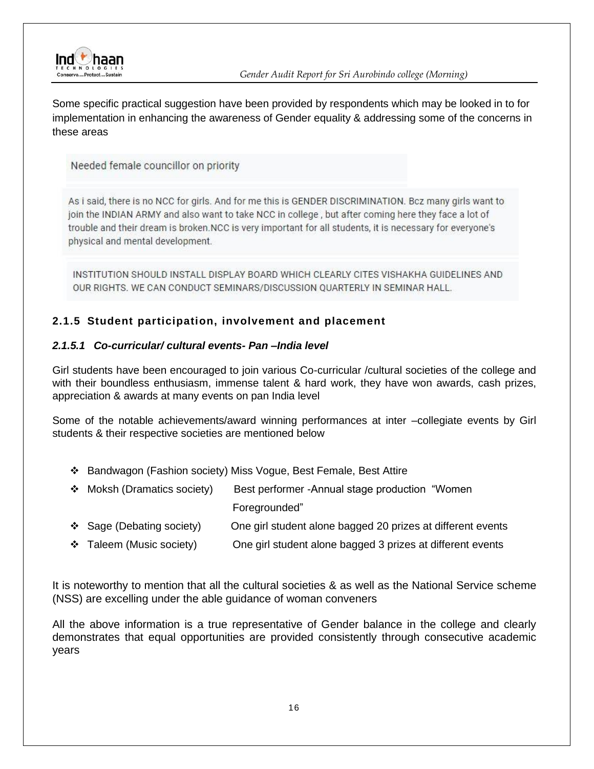

Some specific practical suggestion have been provided by respondents which may be looked in to for implementation in enhancing the awareness of Gender equality & addressing some of the concerns in these areas

Needed female councillor on priority

As i said, there is no NCC for girls. And for me this is GENDER DISCRIMINATION. Bcz many girls want to join the INDIAN ARMY and also want to take NCC in college, but after coming here they face a lot of trouble and their dream is broken. NCC is very important for all students, it is necessary for everyone's physical and mental development.

INSTITUTION SHOULD INSTALL DISPLAY BOARD WHICH CLEARLY CITES VISHAKHA GUIDELINES AND OUR RIGHTS, WE CAN CONDUCT SEMINARS/DISCUSSION OUARTERLY IN SEMINAR HALL.

#### <span id="page-15-0"></span>**2.1.5 Student participation, involvement and placement**

#### *2.1.5.1 Co-curricular/ cultural events- Pan –India level*

Girl students have been encouraged to join various Co-curricular /cultural societies of the college and with their boundless enthusiasm, immense talent & hard work, they have won awards, cash prizes, appreciation & awards at many events on pan India level

Some of the notable achievements/award winning performances at inter –collegiate events by Girl students & their respective societies are mentioned below

- ❖ Bandwagon (Fashion society) Miss Vogue, Best Female, Best Attire
- ❖ Moksh (Dramatics society) Best performer -Annual stage production "Women Foregrounded"
- ❖ Sage (Debating society) One girl student alone bagged 20 prizes at different events
- ❖ Taleem (Music society) One girl student alone bagged 3 prizes at different events

It is noteworthy to mention that all the cultural societies & as well as the National Service scheme (NSS) are excelling under the able guidance of woman conveners

All the above information is a true representative of Gender balance in the college and clearly demonstrates that equal opportunities are provided consistently through consecutive academic years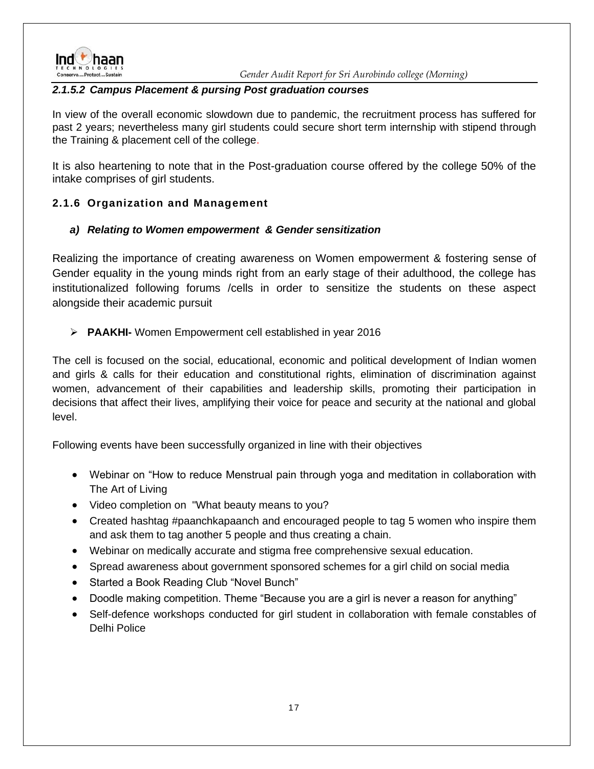

#### *2.1.5.2 Campus Placement & pursing Post graduation courses*

In view of the overall economic slowdown due to pandemic, the recruitment process has suffered for past 2 years; nevertheless many girl students could secure short term internship with stipend through the Training & placement cell of the college.

It is also heartening to note that in the Post-graduation course offered by the college 50% of the intake comprises of girl students.

#### <span id="page-16-0"></span>**2.1.6 Organization and Management**

#### *a) Relating to Women empowerment & Gender sensitization*

Realizing the importance of creating awareness on Women empowerment & fostering sense of Gender equality in the young minds right from an early stage of their adulthood, the college has institutionalized following forums /cells in order to sensitize the students on these aspect alongside their academic pursuit

➢ **PAAKHI-** Women Empowerment cell established in year 2016

The cell is focused on the social, educational, economic and political development of Indian women and girls & calls for their education and constitutional rights, elimination of discrimination against women, advancement of their capabilities and leadership skills, promoting their participation in decisions that affect their lives, amplifying their voice for peace and security at the national and global level.

Following events have been successfully organized in line with their objectives

- Webinar on "How to reduce Menstrual pain through yoga and meditation in collaboration with The Art of Living
- Video completion on "What beauty means to you?
- Created hashtag #paanchkapaanch and encouraged people to tag 5 women who inspire them and ask them to tag another 5 people and thus creating a chain.
- Webinar on medically accurate and stigma free comprehensive sexual education.
- Spread awareness about government sponsored schemes for a girl child on social media
- Started a Book Reading Club "Novel Bunch"
- Doodle making competition. Theme "Because you are a girl is never a reason for anything"
- Self-defence workshops conducted for girl student in collaboration with female constables of Delhi Police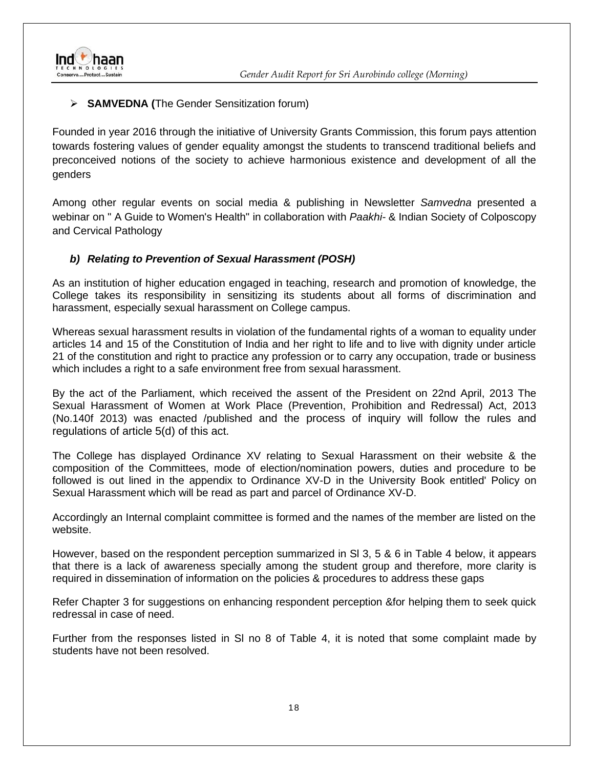

#### ➢ **SAMVEDNA (**The Gender Sensitization forum)

Founded in year 2016 through the initiative of University Grants Commission, this forum pays attention towards fostering values of gender equality amongst the students to transcend traditional beliefs and preconceived notions of the society to achieve harmonious existence and development of all the genders

Among other regular events on social media & publishing in Newsletter *Samvedna* presented a webinar on " A Guide to Women's Health" in collaboration with *Paakhi-* & Indian Society of Colposcopy and Cervical Pathology

#### *b) Relating to Prevention of Sexual Harassment (POSH)*

As an institution of higher education engaged in teaching, research and promotion of knowledge, the College takes its responsibility in sensitizing its students about all forms of discrimination and harassment, especially sexual harassment on College campus.

Whereas sexual harassment results in violation of the fundamental rights of a woman to equality under articles 14 and 15 of the Constitution of India and her right to life and to live with dignity under article 21 of the constitution and right to practice any profession or to carry any occupation, trade or business which includes a right to a safe environment free from sexual harassment.

By the act of the Parliament, which received the assent of the President on 22nd April, 2013 The Sexual Harassment of Women at Work Place (Prevention, Prohibition and Redressal) Act, 2013 (No.140f 2013) was enacted /published and the process of inquiry will follow the rules and regulations of article 5(d) of this act.

The College has displayed Ordinance XV relating to Sexual Harassment on their website & the composition of the Committees, mode of election/nomination powers, duties and procedure to be followed is out lined in the appendix to Ordinance XV-D in the University Book entitled' Policy on Sexual Harassment which will be read as part and parcel of Ordinance XV-D.

Accordingly an Internal complaint committee is formed and the names of the member are listed on the website.

However, based on the respondent perception summarized in Sl 3, 5 & 6 in Table 4 below, it appears that there is a lack of awareness specially among the student group and therefore, more clarity is required in dissemination of information on the policies & procedures to address these gaps

Refer Chapter 3 for suggestions on enhancing respondent perception &for helping them to seek quick redressal in case of need.

Further from the responses listed in Sl no 8 of Table 4, it is noted that some complaint made by students have not been resolved.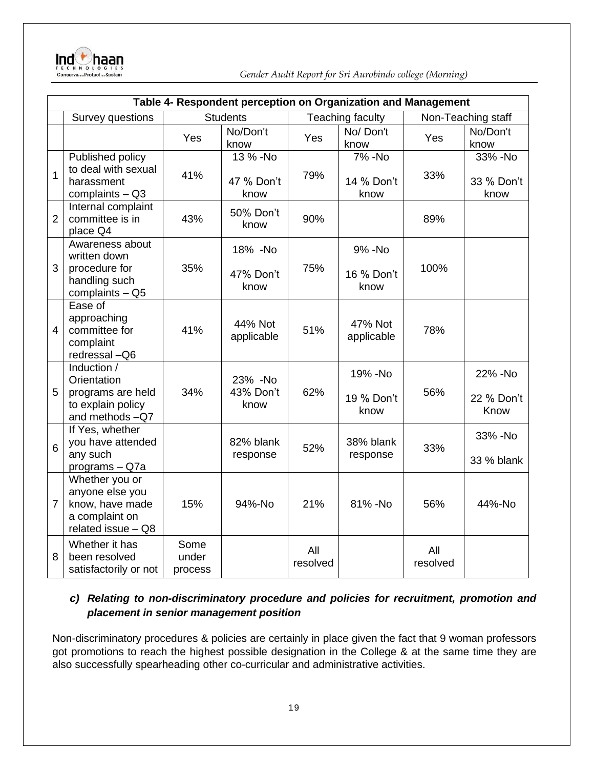

|                |                                                                                              |                          | Table 4- Respondent perception on Organization and Management |                 |                                |                    |                                |
|----------------|----------------------------------------------------------------------------------------------|--------------------------|---------------------------------------------------------------|-----------------|--------------------------------|--------------------|--------------------------------|
|                | Survey questions                                                                             |                          | <b>Students</b>                                               |                 | Teaching faculty               | Non-Teaching staff |                                |
|                |                                                                                              | Yes                      | No/Don't<br>know                                              | Yes             | No/Don't<br>know               | Yes                | No/Don't<br>know               |
| 1              | Published policy<br>to deal with sexual<br>harassment<br>complaints $-$ Q3                   | 41%                      | 13 % -No<br>47 % Don't<br>know                                | 79%             | 7% - No<br>14 % Don't<br>know  | 33%                | 33% - No<br>33 % Don't<br>know |
| $\overline{2}$ | Internal complaint<br>committee is in<br>place Q4                                            | 43%                      | 50% Don't<br>know                                             | 90%             |                                | 89%                |                                |
| 3              | Awareness about<br>written down<br>procedure for<br>handling such<br>complaints - Q5         | 35%                      | 18% -No<br>47% Don't<br>know                                  | 75%             | 9% - No<br>16 % Don't<br>know  | 100%               |                                |
| 4              | Ease of<br>approaching<br>committee for<br>complaint<br>redressal - Q6                       | 41%                      | 44% Not<br>applicable                                         | 51%             | 47% Not<br>applicable          | 78%                |                                |
| 5              | Induction /<br>Orientation<br>programs are held<br>to explain policy<br>and methods -Q7      | 34%                      | 23% - No<br>43% Don't<br>know                                 | 62%             | 19% - No<br>19 % Don't<br>know | 56%                | 22% - No<br>22 % Don't<br>Know |
| 6              | If Yes, whether<br>you have attended<br>any such<br>programs - Q7a                           |                          | 82% blank<br>response                                         | 52%             | 38% blank<br>response          | 33%                | 33% - No<br>33 % blank         |
| $\overline{7}$ | Whether you or<br>anyone else you<br>know, have made<br>a complaint on<br>related issue - Q8 | 15%                      | 94%-No                                                        | 21%             | 81% - No                       | 56%                | 44%-No                         |
| 8              | Whether it has<br>been resolved<br>satisfactorily or not                                     | Some<br>under<br>process |                                                               | All<br>resolved |                                | All<br>resolved    |                                |

#### *c) Relating to non-discriminatory procedure and policies for recruitment, promotion and placement in senior management position*

Non-discriminatory procedures & policies are certainly in place given the fact that 9 woman professors got promotions to reach the highest possible designation in the College & at the same time they are also successfully spearheading other co-curricular and administrative activities.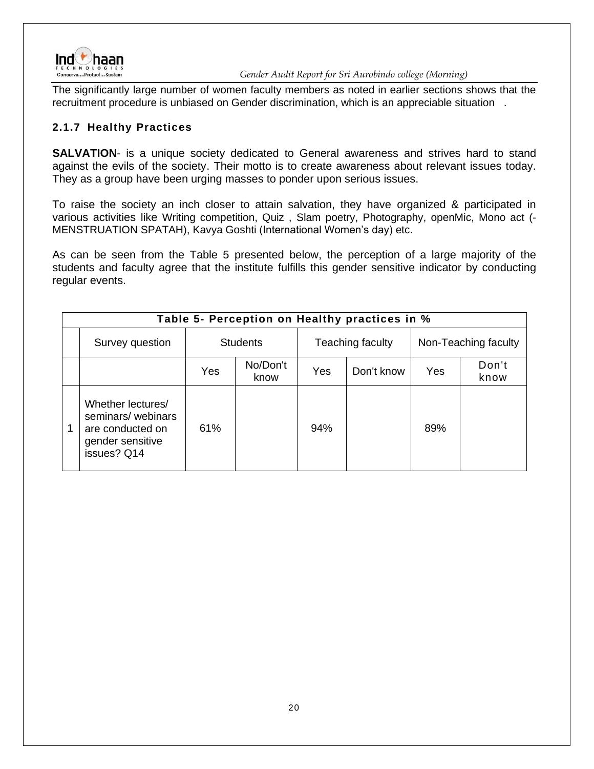

The significantly large number of women faculty members as noted in earlier sections shows that the recruitment procedure is unbiased on Gender discrimination, which is an appreciable situation .

#### <span id="page-19-0"></span>**2.1.7 Healthy Practices**

**SALVATION**- is a unique society dedicated to General awareness and strives hard to stand against the evils of the society. Their motto is to create awareness about relevant issues today. They as a group have been urging masses to ponder upon serious issues.

To raise the society an inch closer to attain salvation, they have organized & participated in various activities like Writing competition, Quiz , Slam poetry, Photography, openMic, Mono act (- MENSTRUATION SPATAH), Kavya Goshti (International Women's day) etc.

As can be seen from the Table 5 presented below, the perception of a large majority of the students and faculty agree that the institute fulfills this gender sensitive indicator by conducting regular events.

| Table 5- Perception on Healthy practices in %                                                       |     |                  |     |                  |     |                      |  |  |  |
|-----------------------------------------------------------------------------------------------------|-----|------------------|-----|------------------|-----|----------------------|--|--|--|
| Survey question                                                                                     |     | <b>Students</b>  |     | Teaching faculty |     | Non-Teaching faculty |  |  |  |
|                                                                                                     | Yes | No/Don't<br>know | Yes | Don't know       | Yes | Don't<br>know        |  |  |  |
| Whether lectures/<br>seminars/ webinars<br>1<br>are conducted on<br>gender sensitive<br>issues? Q14 | 61% |                  | 94% |                  | 89% |                      |  |  |  |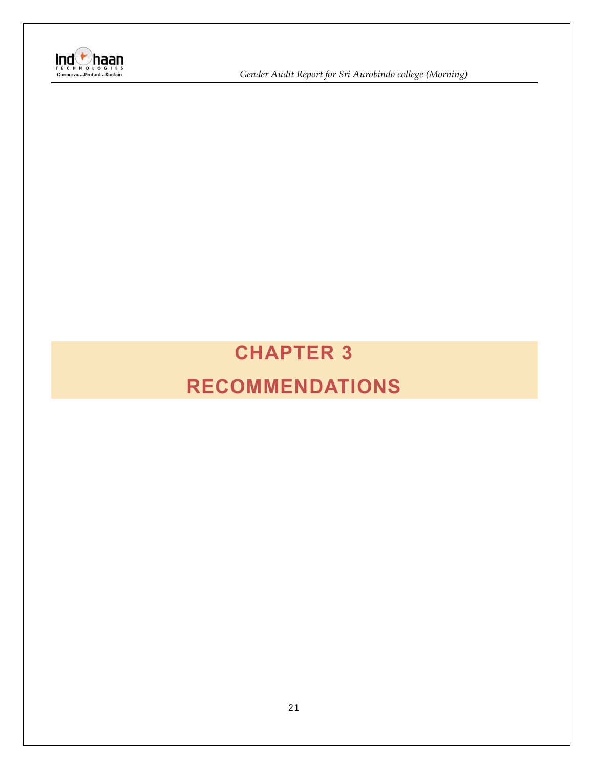

**Ind**<br> *I* Gender Audit Report for Sri Aurobindo college (Morning)<br>
Conserve....Protect...Sustain

# <span id="page-20-1"></span><span id="page-20-0"></span>**CHAPTER 3 RECOMMENDATIONS**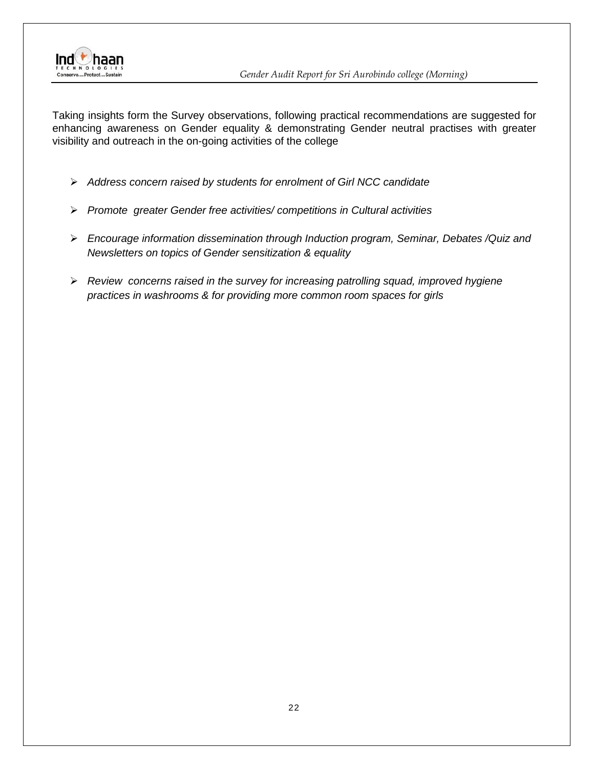

Taking insights form the Survey observations, following practical recommendations are suggested for enhancing awareness on Gender equality & demonstrating Gender neutral practises with greater visibility and outreach in the on-going activities of the college

- ➢ *Address concern raised by students for enrolment of Girl NCC candidate*
- ➢ *Promote greater Gender free activities/ competitions in Cultural activities*
- ➢ *Encourage information dissemination through Induction program, Seminar, Debates /Quiz and Newsletters on topics of Gender sensitization & equality*
- ➢ *Review concerns raised in the survey for increasing patrolling squad, improved hygiene practices in washrooms & for providing more common room spaces for girls*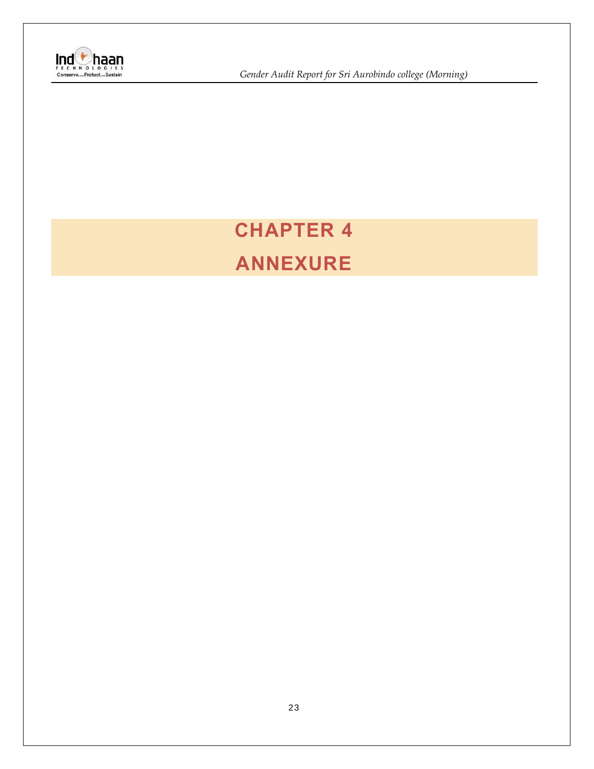

**Ind**<br> *I* E C H N O LOGIES<br>
Conserve....Protect...Sustain<br>
Conserve....Protect...Sustain

# **CHAPTER 4 ANNEXURE**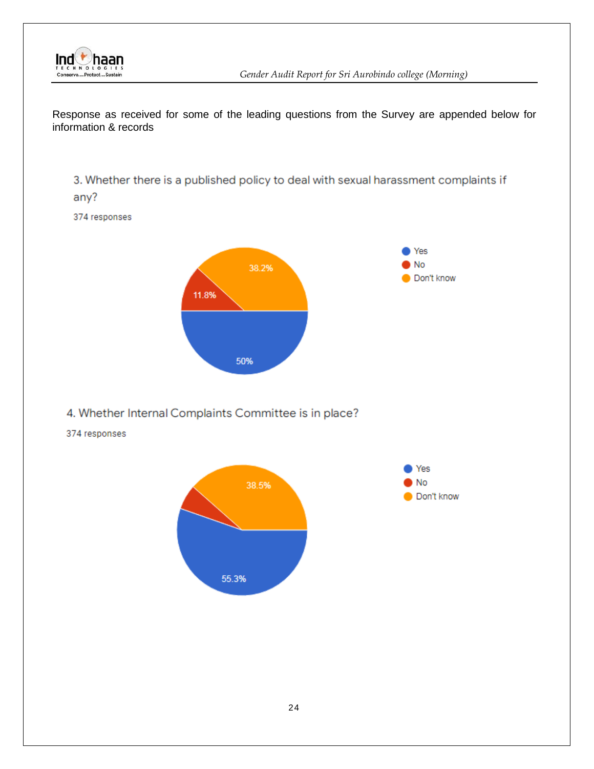

Response as received for some of the leading questions from the Survey are appended below for information & records

3. Whether there is a published policy to deal with sexual harassment complaints if any?

374 responses



#### 4. Whether Internal Complaints Committee is in place?

374 responses

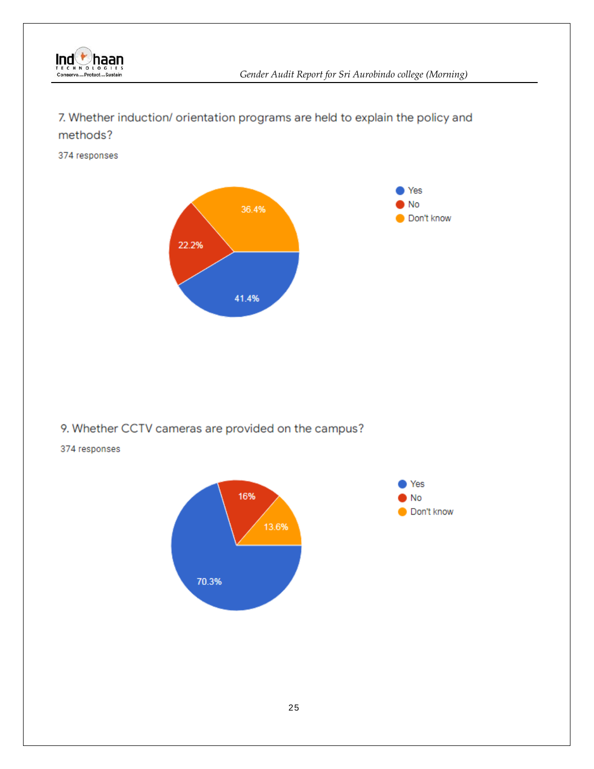

### 7. Whether induction/ orientation programs are held to explain the policy and methods?

374 responses



#### 9. Whether CCTV cameras are provided on the campus?

#### 374 responses